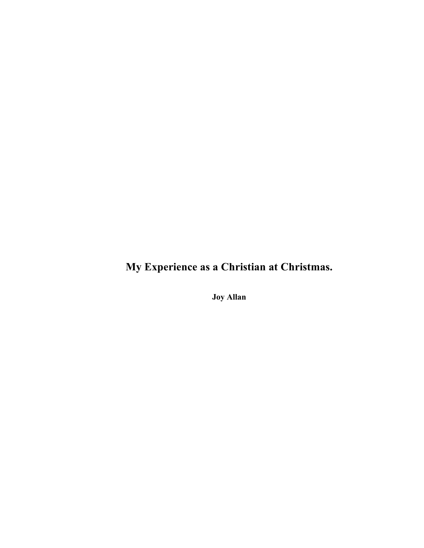**My Experience as a Christian at Christmas.**

**Joy Allan**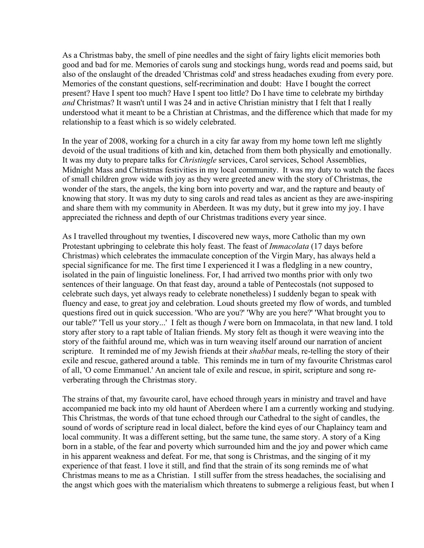As a Christmas baby, the smell of pine needles and the sight of fairy lights elicit memories both good and bad for me. Memories of carols sung and stockings hung, words read and poems said, but also of the onslaught of the dreaded 'Christmas cold' and stress headaches exuding from every pore. Memories of the constant questions, self-recrimination and doubt: Have I bought the correct present? Have I spent too much? Have I spent too little? Do I have time to celebrate my birthday *and* Christmas? It wasn't until I was 24 and in active Christian ministry that I felt that I really understood what it meant to be a Christian at Christmas, and the difference which that made for my relationship to a feast which is so widely celebrated.

In the year of 2008, working for a church in a city far away from my home town left me slightly devoid of the usual traditions of kith and kin, detached from them both physically and emotionally. It was my duty to prepare talks for *Christingle* services, Carol services, School Assemblies, Midnight Mass and Christmas festivities in my local community. It was my duty to watch the faces of small children grow wide with joy as they were greeted anew with the story of Christmas, the wonder of the stars, the angels, the king born into poverty and war, and the rapture and beauty of knowing that story. It was my duty to sing carols and read tales as ancient as they are awe-inspiring and share them with my community in Aberdeen. It was my duty, but it grew into my joy. I have appreciated the richness and depth of our Christmas traditions every year since.

As I travelled throughout my twenties, I discovered new ways, more Catholic than my own Protestant upbringing to celebrate this holy feast. The feast of *Immacolata* (17 days before Christmas) which celebrates the immaculate conception of the Virgin Mary, has always held a special significance for me. The first time I experienced it I was a fledgling in a new country, isolated in the pain of linguistic loneliness. For, I had arrived two months prior with only two sentences of their language. On that feast day, around a table of Pentecostals (not supposed to celebrate such days, yet always ready to celebrate nonetheless) I suddenly began to speak with fluency and ease, to great joy and celebration. Loud shouts greeted my flow of words, and tumbled questions fired out in quick succession. 'Who are you?' 'Why are you here?' 'What brought you to our table?' 'Tell us your story...' I felt as though *I* were born on Immacolata, in that new land. I told story after story to a rapt table of Italian friends. My story felt as though it were weaving into the story of the faithful around me, which was in turn weaving itself around our narration of ancient scripture. It reminded me of my Jewish friends at their *shabbat* meals, re-telling the story of their exile and rescue, gathered around a table. This reminds me in turn of my favourite Christmas carol of all, 'O come Emmanuel.' An ancient tale of exile and rescue, in spirit, scripture and song reverberating through the Christmas story.

The strains of that, my favourite carol, have echoed through years in ministry and travel and have accompanied me back into my old haunt of Aberdeen where I am a currently working and studying. This Christmas, the words of that tune echoed through our Cathedral to the sight of candles, the sound of words of scripture read in local dialect, before the kind eyes of our Chaplaincy team and local community. It was a different setting, but the same tune, the same story. A story of a King born in a stable, of the fear and poverty which surrounded him and the joy and power which came in his apparent weakness and defeat. For me, that song is Christmas, and the singing of it my experience of that feast. I love it still, and find that the strain of its song reminds me of what Christmas means to me as a Christian. I still suffer from the stress headaches, the socialising and the angst which goes with the materialism which threatens to submerge a religious feast, but when I